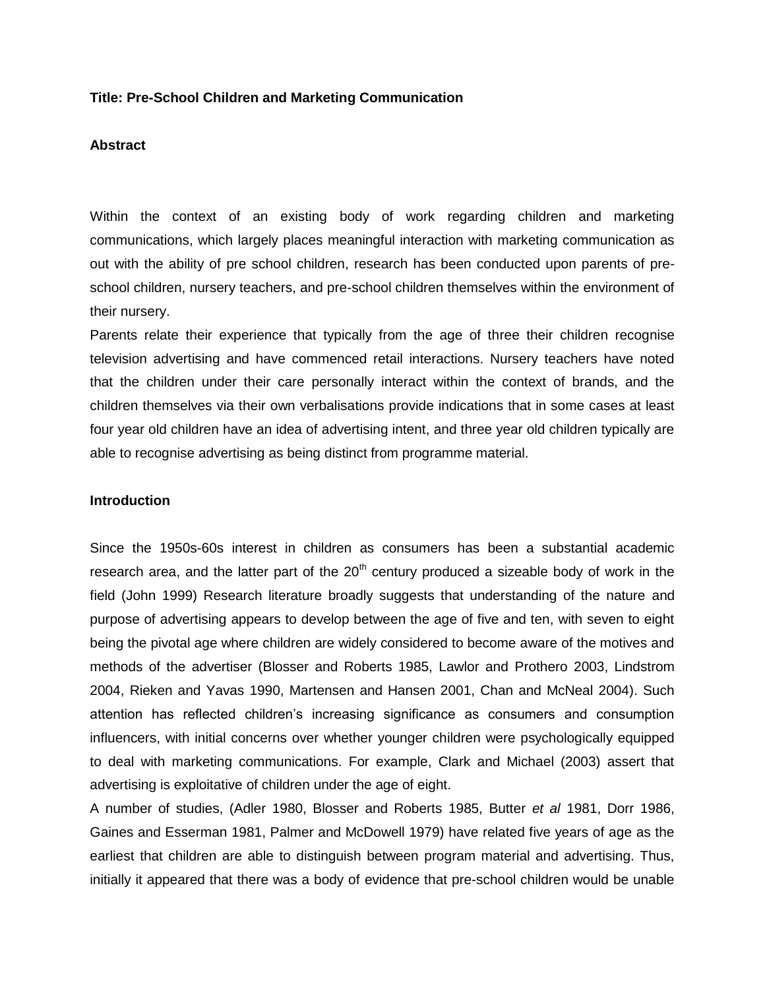## **Title: Pre-School Children and Marketing Communication**

## **Abstract**

Within the context of an existing body of work regarding children and marketing communications, which largely places meaningful interaction with marketing communication as out with the ability of pre school children, research has been conducted upon parents of preschool children, nursery teachers, and pre-school children themselves within the environment of their nursery.

Parents relate their experience that typically from the age of three their children recognise television advertising and have commenced retail interactions. Nursery teachers have noted that the children under their care personally interact within the context of brands, and the children themselves via their own verbalisations provide indications that in some cases at least four year old children have an idea of advertising intent, and three year old children typically are able to recognise advertising as being distinct from programme material.

#### **Introduction**

Since the 1950s-60s interest in children as consumers has been a substantial academic research area, and the latter part of the  $20<sup>th</sup>$  century produced a sizeable body of work in the field (John 1999) Research literature broadly suggests that understanding of the nature and purpose of advertising appears to develop between the age of five and ten, with seven to eight being the pivotal age where children are widely considered to become aware of the motives and methods of the advertiser (Blosser and Roberts 1985, Lawlor and Prothero 2003, Lindstrom 2004, Rieken and Yavas 1990, Martensen and Hansen 2001, Chan and McNeal 2004). Such attention has reflected children's increasing significance as consumers and consumption influencers, with initial concerns over whether younger children were psychologically equipped to deal with marketing communications. For example, Clark and Michael (2003) assert that advertising is exploitative of children under the age of eight.

A number of studies, (Adler 1980, Blosser and Roberts 1985, Butter *et al* 1981, Dorr 1986, Gaines and Esserman 1981, Palmer and McDowell 1979) have related five years of age as the earliest that children are able to distinguish between program material and advertising. Thus, initially it appeared that there was a body of evidence that pre-school children would be unable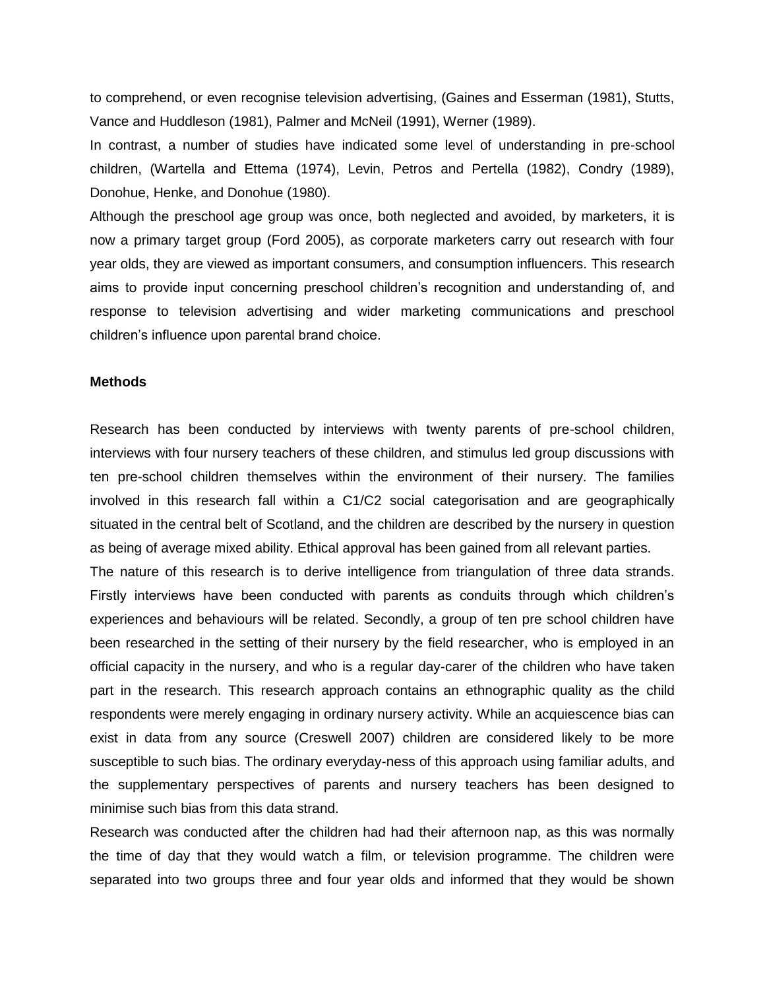to comprehend, or even recognise television advertising, (Gaines and Esserman (1981), Stutts, Vance and Huddleson (1981), Palmer and McNeil (1991), Werner (1989).

In contrast, a number of studies have indicated some level of understanding in pre-school children, (Wartella and Ettema (1974), Levin, Petros and Pertella (1982), Condry (1989), Donohue, Henke, and Donohue (1980).

Although the preschool age group was once, both neglected and avoided, by marketers, it is now a primary target group (Ford 2005), as corporate marketers carry out research with four year olds, they are viewed as important consumers, and consumption influencers. This research aims to provide input concerning preschool children's recognition and understanding of, and response to television advertising and wider marketing communications and preschool children's influence upon parental brand choice.

## **Methods**

Research has been conducted by interviews with twenty parents of pre-school children, interviews with four nursery teachers of these children, and stimulus led group discussions with ten pre-school children themselves within the environment of their nursery. The families involved in this research fall within a C1/C2 social categorisation and are geographically situated in the central belt of Scotland, and the children are described by the nursery in question as being of average mixed ability. Ethical approval has been gained from all relevant parties.

The nature of this research is to derive intelligence from triangulation of three data strands. Firstly interviews have been conducted with parents as conduits through which children's experiences and behaviours will be related. Secondly, a group of ten pre school children have been researched in the setting of their nursery by the field researcher, who is employed in an official capacity in the nursery, and who is a regular day-carer of the children who have taken part in the research. This research approach contains an ethnographic quality as the child respondents were merely engaging in ordinary nursery activity. While an acquiescence bias can exist in data from any source (Creswell 2007) children are considered likely to be more susceptible to such bias. The ordinary everyday-ness of this approach using familiar adults, and the supplementary perspectives of parents and nursery teachers has been designed to minimise such bias from this data strand.

Research was conducted after the children had had their afternoon nap, as this was normally the time of day that they would watch a film, or television programme. The children were separated into two groups three and four year olds and informed that they would be shown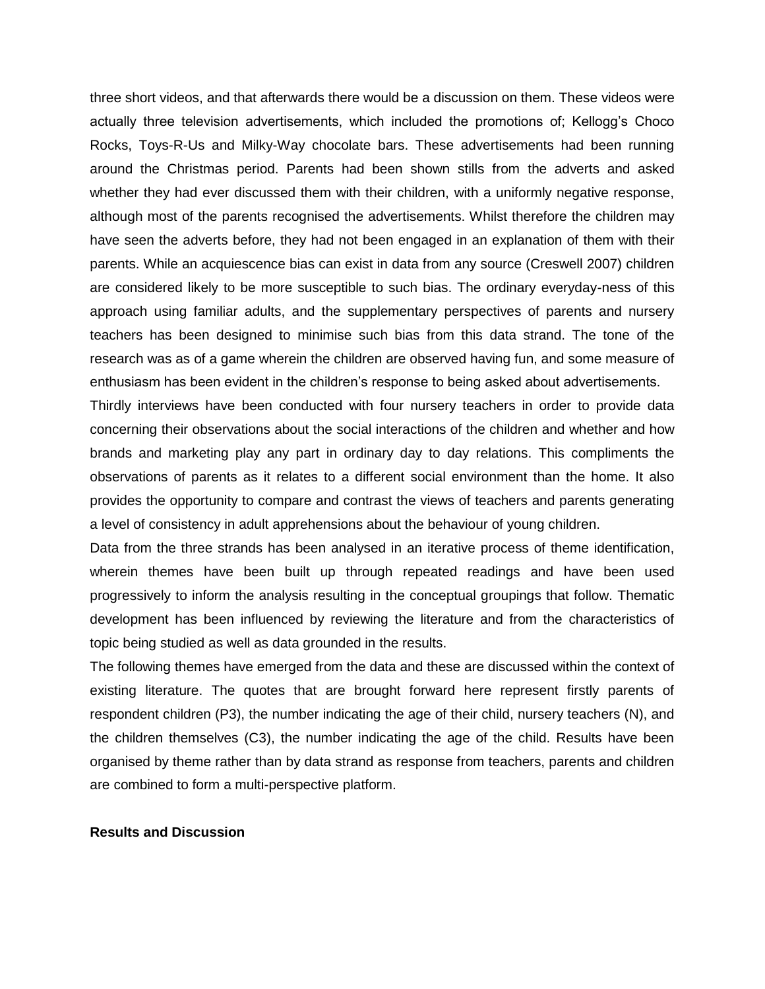three short videos, and that afterwards there would be a discussion on them. These videos were actually three television advertisements, which included the promotions of; Kellogg's Choco Rocks, Toys-R-Us and Milky-Way chocolate bars. These advertisements had been running around the Christmas period. Parents had been shown stills from the adverts and asked whether they had ever discussed them with their children, with a uniformly negative response, although most of the parents recognised the advertisements. Whilst therefore the children may have seen the adverts before, they had not been engaged in an explanation of them with their parents. While an acquiescence bias can exist in data from any source (Creswell 2007) children are considered likely to be more susceptible to such bias. The ordinary everyday-ness of this approach using familiar adults, and the supplementary perspectives of parents and nursery teachers has been designed to minimise such bias from this data strand. The tone of the research was as of a game wherein the children are observed having fun, and some measure of enthusiasm has been evident in the children's response to being asked about advertisements.

Thirdly interviews have been conducted with four nursery teachers in order to provide data concerning their observations about the social interactions of the children and whether and how brands and marketing play any part in ordinary day to day relations. This compliments the observations of parents as it relates to a different social environment than the home. It also provides the opportunity to compare and contrast the views of teachers and parents generating a level of consistency in adult apprehensions about the behaviour of young children.

Data from the three strands has been analysed in an iterative process of theme identification, wherein themes have been built up through repeated readings and have been used progressively to inform the analysis resulting in the conceptual groupings that follow. Thematic development has been influenced by reviewing the literature and from the characteristics of topic being studied as well as data grounded in the results.

The following themes have emerged from the data and these are discussed within the context of existing literature. The quotes that are brought forward here represent firstly parents of respondent children (P3), the number indicating the age of their child, nursery teachers (N), and the children themselves (C3), the number indicating the age of the child. Results have been organised by theme rather than by data strand as response from teachers, parents and children are combined to form a multi-perspective platform.

# **Results and Discussion**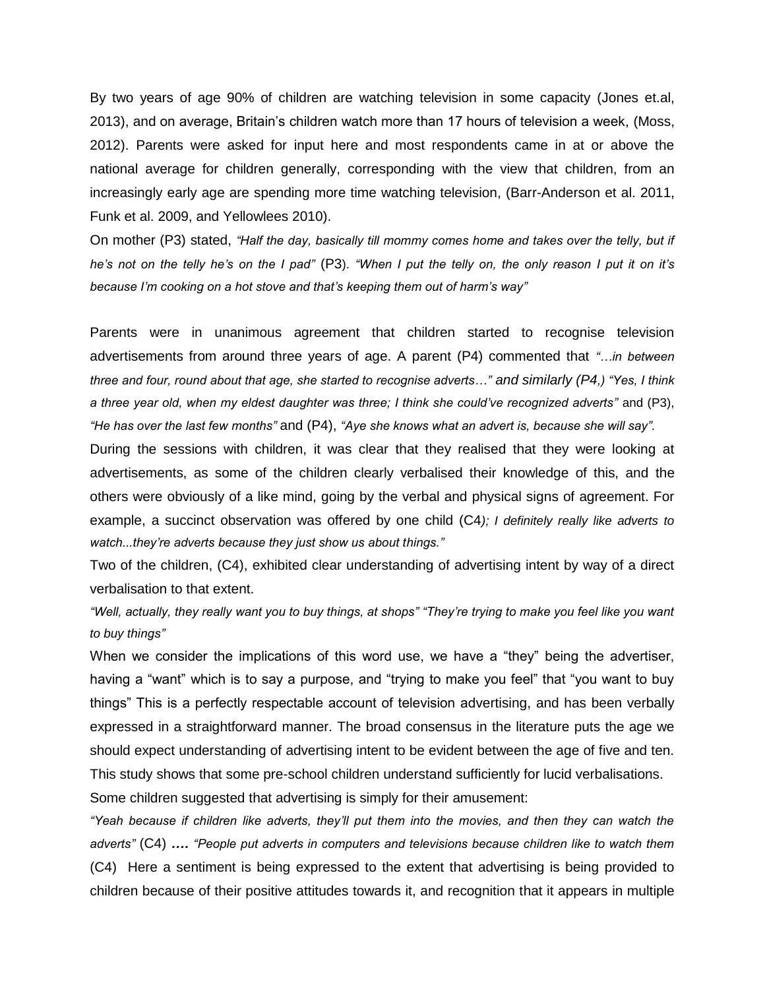By two years of age 90% of children are watching television in some capacity (Jones et.al, 2013), and on average, Britain's children watch more than 17 hours of television a week, (Moss, 2012). Parents were asked for input here and most respondents came in at or above the national average for children generally, corresponding with the view that children, from an increasingly early age are spending more time watching television, (Barr-Anderson et al. 2011, Funk et al. 2009, and Yellowlees 2010).

On mother (P3) stated, *"Half the day, basically till mommy comes home and takes over the telly, but if he's not on the telly he's on the I pad"* (P3). *"When I put the telly on, the only reason I put it on it's because I'm cooking on a hot stove and that's keeping them out of harm's way"*

Parents were in unanimous agreement that children started to recognise television advertisements from around three years of age. A parent (P4) commented that *"…in between three and four, round about that age, she started to recognise adverts…" and similarly (P4,) "Yes, I think a three year old, when my eldest daughter was three; I think she could've recognized adverts"* and (P3), *"He has over the last few months"* and (P4), *"Aye she knows what an advert is, because she will say".* 

During the sessions with children, it was clear that they realised that they were looking at advertisements, as some of the children clearly verbalised their knowledge of this, and the others were obviously of a like mind, going by the verbal and physical signs of agreement. For example, a succinct observation was offered by one child (C4*); I definitely really like adverts to watch...they're adverts because they just show us about things."*

Two of the children, (C4), exhibited clear understanding of advertising intent by way of a direct verbalisation to that extent.

*"Well, actually, they really want you to buy things, at shops" "They're trying to make you feel like you want to buy things"* 

When we consider the implications of this word use, we have a "they" being the advertiser, having a "want" which is to say a purpose, and "trying to make you feel" that "you want to buy things" This is a perfectly respectable account of television advertising, and has been verbally expressed in a straightforward manner. The broad consensus in the literature puts the age we should expect understanding of advertising intent to be evident between the age of five and ten. This study shows that some pre-school children understand sufficiently for lucid verbalisations.

Some children suggested that advertising is simply for their amusement:

*"Yeah because if children like adverts, they'll put them into the movies, and then they can watch the adverts"* (C4) *…. "People put adverts in computers and televisions because children like to watch them* (C4) Here a sentiment is being expressed to the extent that advertising is being provided to children because of their positive attitudes towards it, and recognition that it appears in multiple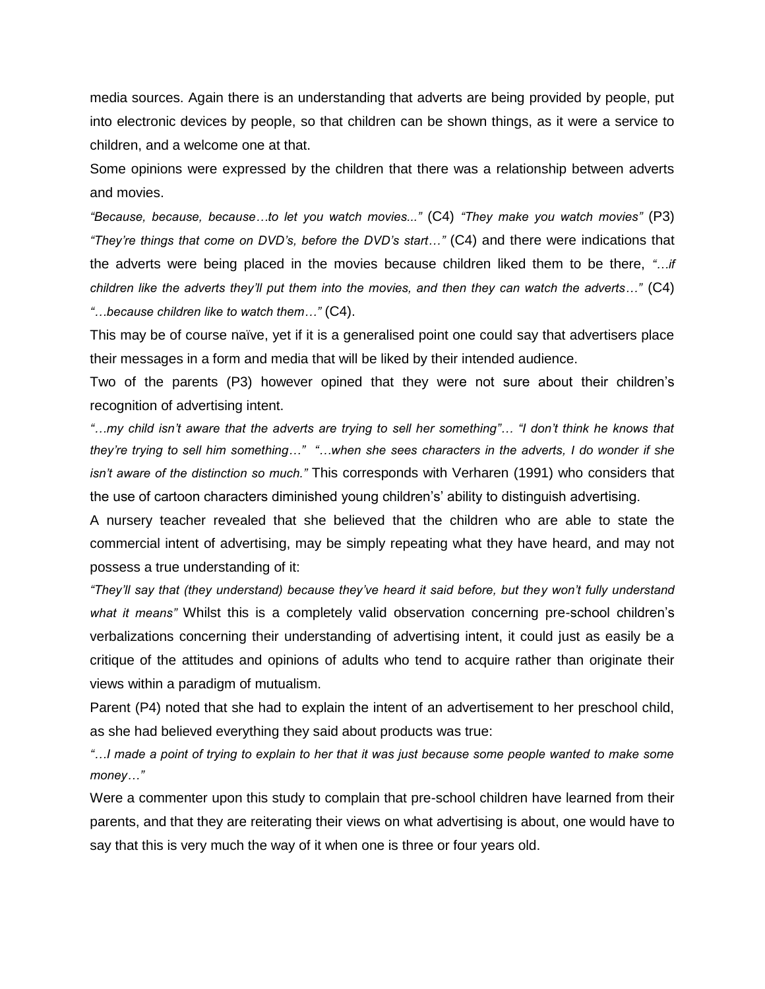media sources. Again there is an understanding that adverts are being provided by people, put into electronic devices by people, so that children can be shown things, as it were a service to children, and a welcome one at that.

Some opinions were expressed by the children that there was a relationship between adverts and movies.

*"Because, because, because…to let you watch movies..."* (C4) *"They make you watch movies"* (P3) *"They're things that come on DVD's, before the DVD's start…"* (C4) and there were indications that the adverts were being placed in the movies because children liked them to be there, *"…if children like the adverts they'll put them into the movies, and then they can watch the adverts…"* (C4) *"…because children like to watch them…"* (C4).

This may be of course naïve, yet if it is a generalised point one could say that advertisers place their messages in a form and media that will be liked by their intended audience.

Two of the parents (P3) however opined that they were not sure about their children's recognition of advertising intent.

*"…my child isn't aware that the adverts are trying to sell her something"… "I don't think he knows that they're trying to sell him something…" "…when she sees characters in the adverts, I do wonder if she isn't aware of the distinction so much."* This corresponds with Verharen (1991) who considers that the use of cartoon characters diminished young children's' ability to distinguish advertising.

A nursery teacher revealed that she believed that the children who are able to state the commercial intent of advertising, may be simply repeating what they have heard, and may not possess a true understanding of it:

*"They'll say that (they understand) because they've heard it said before, but they won't fully understand what it means"* Whilst this is a completely valid observation concerning pre-school children's verbalizations concerning their understanding of advertising intent, it could just as easily be a critique of the attitudes and opinions of adults who tend to acquire rather than originate their views within a paradigm of mutualism.

Parent (P4) noted that she had to explain the intent of an advertisement to her preschool child, as she had believed everything they said about products was true:

*"…I made a point of trying to explain to her that it was just because some people wanted to make some money…"* 

Were a commenter upon this study to complain that pre-school children have learned from their parents, and that they are reiterating their views on what advertising is about, one would have to say that this is very much the way of it when one is three or four years old.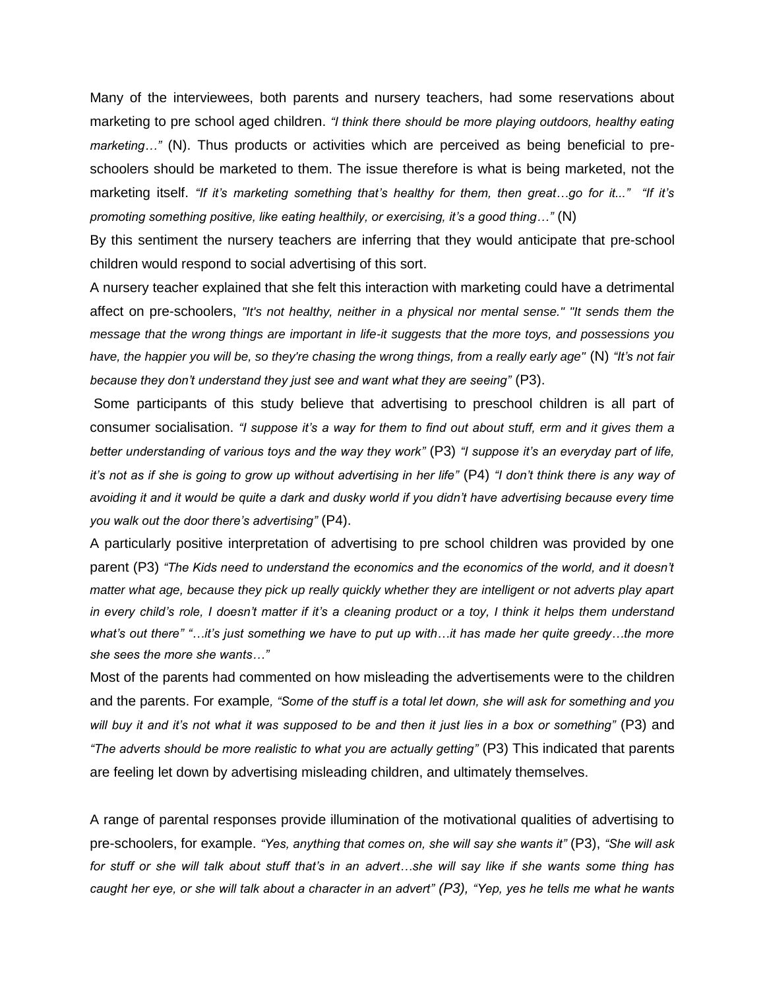Many of the interviewees, both parents and nursery teachers, had some reservations about marketing to pre school aged children. *"I think there should be more playing outdoors, healthy eating marketing…"* (N). Thus products or activities which are perceived as being beneficial to preschoolers should be marketed to them. The issue therefore is what is being marketed, not the marketing itself. *"If it's marketing something that's healthy for them, then great…go for it..." "If it's promoting something positive, like eating healthily, or exercising, it's a good thing…"* (N)

By this sentiment the nursery teachers are inferring that they would anticipate that pre-school children would respond to social advertising of this sort.

A nursery teacher explained that she felt this interaction with marketing could have a detrimental affect on pre-schoolers, *"It's not healthy, neither in a physical nor mental sense." "It sends them the message that the wrong things are important in life-it suggests that the more toys, and possessions you have, the happier you will be, so they're chasing the wrong things, from a really early age"* (N) *"It's not fair because they don't understand they just see and want what they are seeing"* (P3).

Some participants of this study believe that advertising to preschool children is all part of consumer socialisation. *"I suppose it's a way for them to find out about stuff, erm and it gives them a better understanding of various toys and the way they work"* (P3) *"I suppose it's an everyday part of life, it's not as if she is going to grow up without advertising in her life"* (P4) *"I don't think there is any way of avoiding it and it would be quite a dark and dusky world if you didn't have advertising because every time you walk out the door there's advertising"* (P4).

A particularly positive interpretation of advertising to pre school children was provided by one parent (P3) *"The Kids need to understand the economics and the economics of the world, and it doesn't matter what age, because they pick up really quickly whether they are intelligent or not adverts play apart in every child's role, I doesn't matter if it's a cleaning product or a toy, I think it helps them understand what's out there" "…it's just something we have to put up with…it has made her quite greedy…the more she sees the more she wants…"*

Most of the parents had commented on how misleading the advertisements were to the children and the parents. For example*, "Some of the stuff is a total let down, she will ask for something and you will buy it and it's not what it was supposed to be and then it just lies in a box or something"* (P3) and *"The adverts should be more realistic to what you are actually getting"* (P3) This indicated that parents are feeling let down by advertising misleading children, and ultimately themselves.

A range of parental responses provide illumination of the motivational qualities of advertising to pre-schoolers, for example. *"Yes, anything that comes on, she will say she wants it"* (P3), *"She will ask for stuff or she will talk about stuff that's in an advert…she will say like if she wants some thing has caught her eye, or she will talk about a character in an advert" (P3), "Yep, yes he tells me what he wants*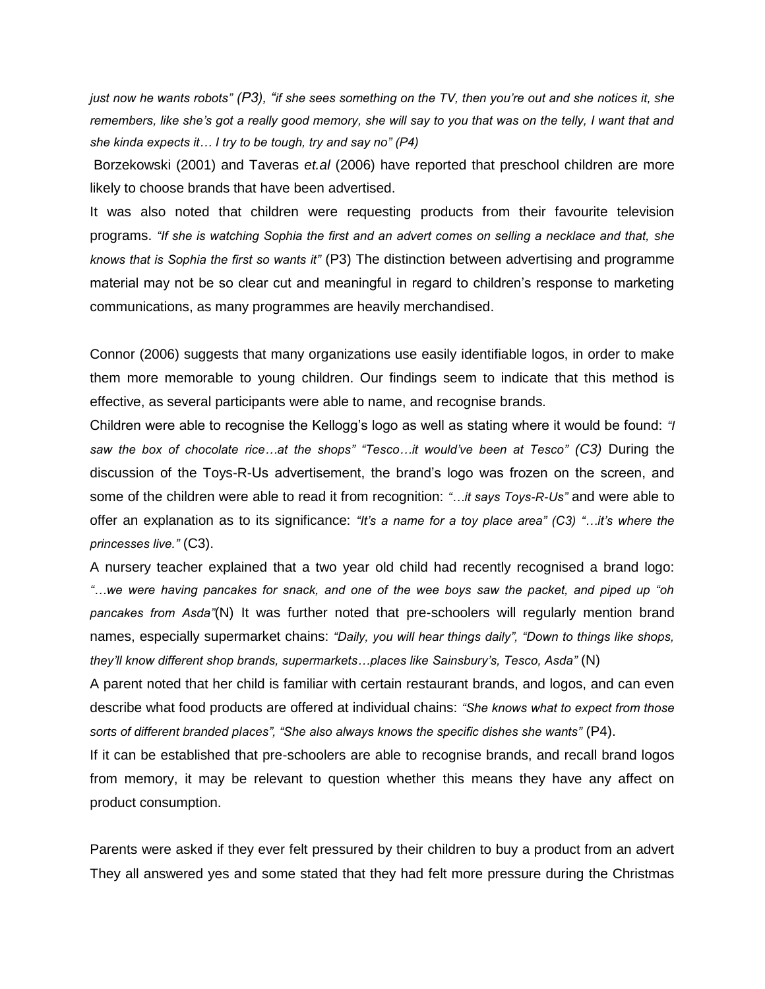*just now he wants robots" (P3), "if she sees something on the TV, then you're out and she notices it, she remembers, like she's got a really good memory, she will say to you that was on the telly, I want that and she kinda expects it… I try to be tough, try and say no" (P4)*

Borzekowski (2001) and Taveras *et.al* (2006) have reported that preschool children are more likely to choose brands that have been advertised.

It was also noted that children were requesting products from their favourite television programs. *"If she is watching Sophia the first and an advert comes on selling a necklace and that, she knows that is Sophia the first so wants it"* (P3) The distinction between advertising and programme material may not be so clear cut and meaningful in regard to children's response to marketing communications, as many programmes are heavily merchandised.

Connor (2006) suggests that many organizations use easily identifiable logos, in order to make them more memorable to young children. Our findings seem to indicate that this method is effective, as several participants were able to name, and recognise brands.

Children were able to recognise the Kellogg's logo as well as stating where it would be found: *"I saw the box of chocolate rice…at the shops" "Tesco…it would've been at Tesco" (C3)* During the discussion of the Toys-R-Us advertisement, the brand's logo was frozen on the screen, and some of the children were able to read it from recognition: *"…it says Toys-R-Us"* and were able to offer an explanation as to its significance: *"It's a name for a toy place area" (C3) "…it's where the princesses live."* (C3).

A nursery teacher explained that a two year old child had recently recognised a brand logo: *"…we were having pancakes for snack, and one of the wee boys saw the packet, and piped up "oh pancakes from Asda"*(N) It was further noted that pre-schoolers will regularly mention brand names, especially supermarket chains: *"Daily, you will hear things daily", "Down to things like shops, they'll know different shop brands, supermarkets…places like Sainsbury's, Tesco, Asda"* (N)

A parent noted that her child is familiar with certain restaurant brands, and logos, and can even describe what food products are offered at individual chains: *"She knows what to expect from those sorts of different branded places", "She also always knows the specific dishes she wants"* (P4).

If it can be established that pre-schoolers are able to recognise brands, and recall brand logos from memory, it may be relevant to question whether this means they have any affect on product consumption.

Parents were asked if they ever felt pressured by their children to buy a product from an advert They all answered yes and some stated that they had felt more pressure during the Christmas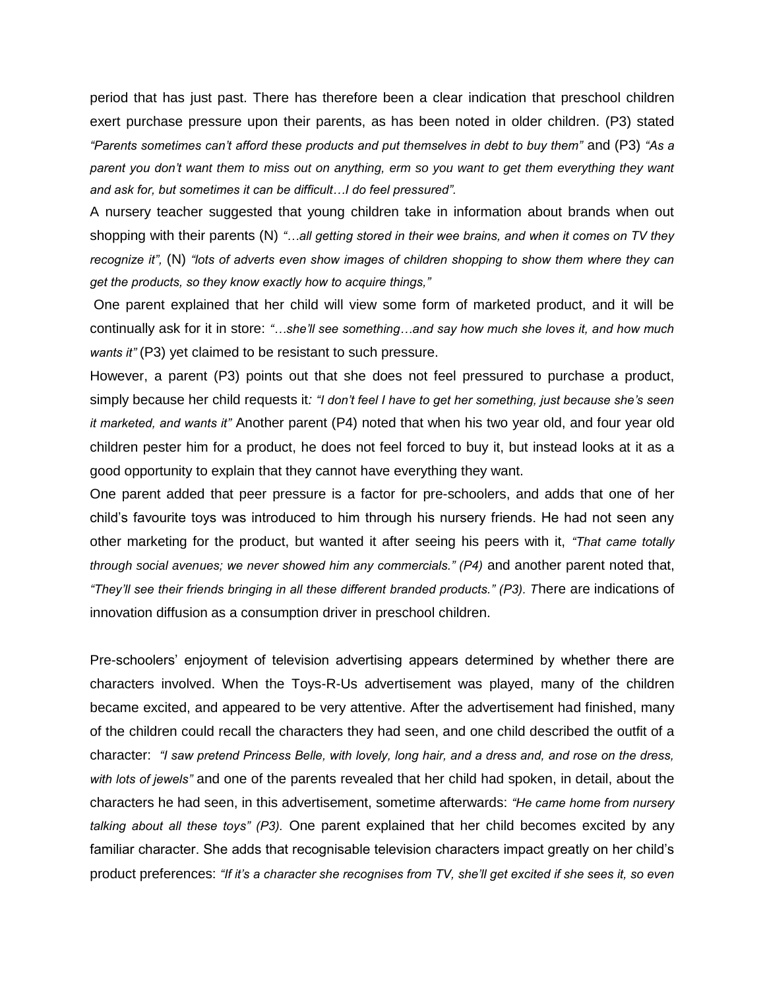period that has just past. There has therefore been a clear indication that preschool children exert purchase pressure upon their parents, as has been noted in older children. (P3) stated *"Parents sometimes can't afford these products and put themselves in debt to buy them"* and (P3) *"As a parent you don't want them to miss out on anything, erm so you want to get them everything they want and ask for, but sometimes it can be difficult…I do feel pressured".* 

A nursery teacher suggested that young children take in information about brands when out shopping with their parents (N) *"…all getting stored in their wee brains, and when it comes on TV they recognize it",* (N) *"lots of adverts even show images of children shopping to show them where they can get the products, so they know exactly how to acquire things,"*

One parent explained that her child will view some form of marketed product, and it will be continually ask for it in store: *"…she'll see something…and say how much she loves it, and how much wants it"* (P3) yet claimed to be resistant to such pressure.

However, a parent (P3) points out that she does not feel pressured to purchase a product, simply because her child requests it*: "I don't feel I have to get her something, just because she's seen it marketed, and wants it"* Another parent (P4) noted that when his two year old, and four year old children pester him for a product, he does not feel forced to buy it, but instead looks at it as a good opportunity to explain that they cannot have everything they want.

One parent added that peer pressure is a factor for pre-schoolers, and adds that one of her child's favourite toys was introduced to him through his nursery friends. He had not seen any other marketing for the product, but wanted it after seeing his peers with it, *"That came totally through social avenues; we never showed him any commercials." (P4)* and another parent noted that, *"They'll see their friends bringing in all these different branded products." (P3). T*here are indications of innovation diffusion as a consumption driver in preschool children.

Pre-schoolers' enjoyment of television advertising appears determined by whether there are characters involved. When the Toys-R-Us advertisement was played, many of the children became excited, and appeared to be very attentive. After the advertisement had finished, many of the children could recall the characters they had seen, and one child described the outfit of a character: *"I saw pretend Princess Belle, with lovely, long hair, and a dress and, and rose on the dress, with lots of jewels"* and one of the parents revealed that her child had spoken, in detail, about the characters he had seen, in this advertisement, sometime afterwards: *"He came home from nursery talking about all these toys" (P3).* One parent explained that her child becomes excited by any familiar character. She adds that recognisable television characters impact greatly on her child's product preferences: *"If it's a character she recognises from TV, she'll get excited if she sees it, so even*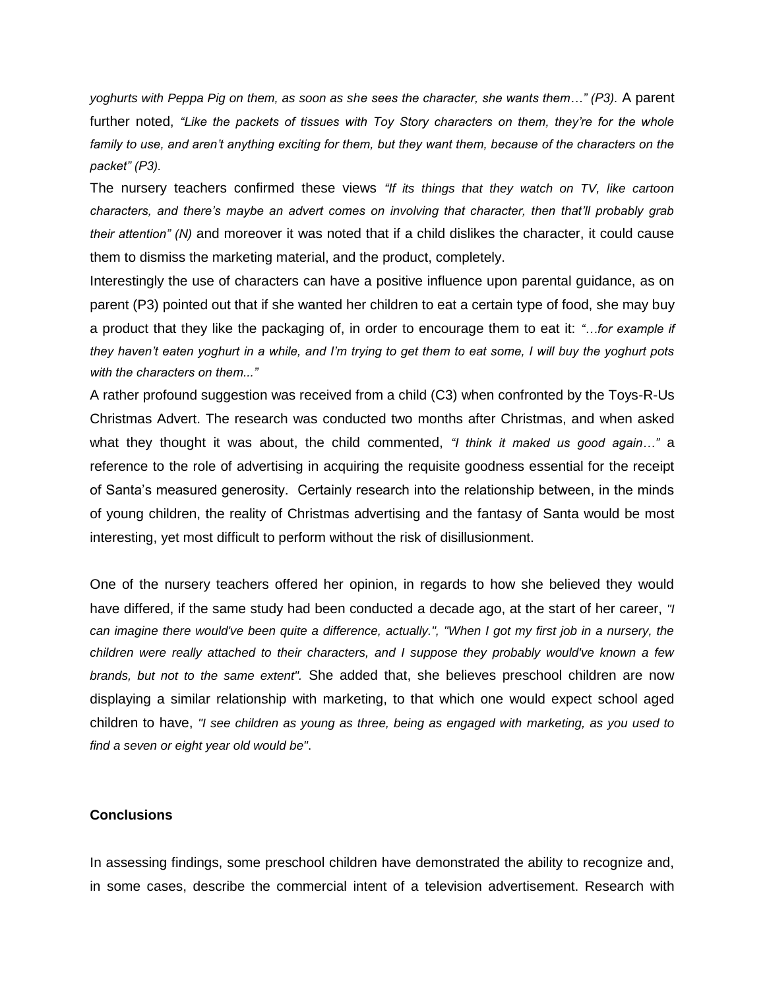*yoghurts with Peppa Pig on them, as soon as she sees the character, she wants them…" (P3).* A parent further noted, *"Like the packets of tissues with Toy Story characters on them, they're for the whole family to use, and aren't anything exciting for them, but they want them, because of the characters on the packet" (P3).* 

The nursery teachers confirmed these views *"If its things that they watch on TV, like cartoon characters, and there's maybe an advert comes on involving that character, then that'll probably grab their attention" (N)* and moreover it was noted that if a child dislikes the character, it could cause them to dismiss the marketing material, and the product, completely.

Interestingly the use of characters can have a positive influence upon parental guidance, as on parent (P3) pointed out that if she wanted her children to eat a certain type of food, she may buy a product that they like the packaging of, in order to encourage them to eat it: *"…for example if they haven't eaten yoghurt in a while, and I'm trying to get them to eat some, I will buy the yoghurt pots with the characters on them..."*

A rather profound suggestion was received from a child (C3) when confronted by the Toys-R-Us Christmas Advert. The research was conducted two months after Christmas, and when asked what they thought it was about, the child commented, *"I think it maked us good again…"* a reference to the role of advertising in acquiring the requisite goodness essential for the receipt of Santa's measured generosity. Certainly research into the relationship between, in the minds of young children, the reality of Christmas advertising and the fantasy of Santa would be most interesting, yet most difficult to perform without the risk of disillusionment.

One of the nursery teachers offered her opinion, in regards to how she believed they would have differed, if the same study had been conducted a decade ago, at the start of her career, *"I can imagine there would've been quite a difference, actually.", "When I got my first job in a nursery, the children were really attached to their characters, and I suppose they probably would've known a few brands, but not to the same extent".* She added that, she believes preschool children are now displaying a similar relationship with marketing, to that which one would expect school aged children to have, *"I see children as young as three, being as engaged with marketing, as you used to find a seven or eight year old would be"*.

#### **Conclusions**

In assessing findings, some preschool children have demonstrated the ability to recognize and, in some cases, describe the commercial intent of a television advertisement. Research with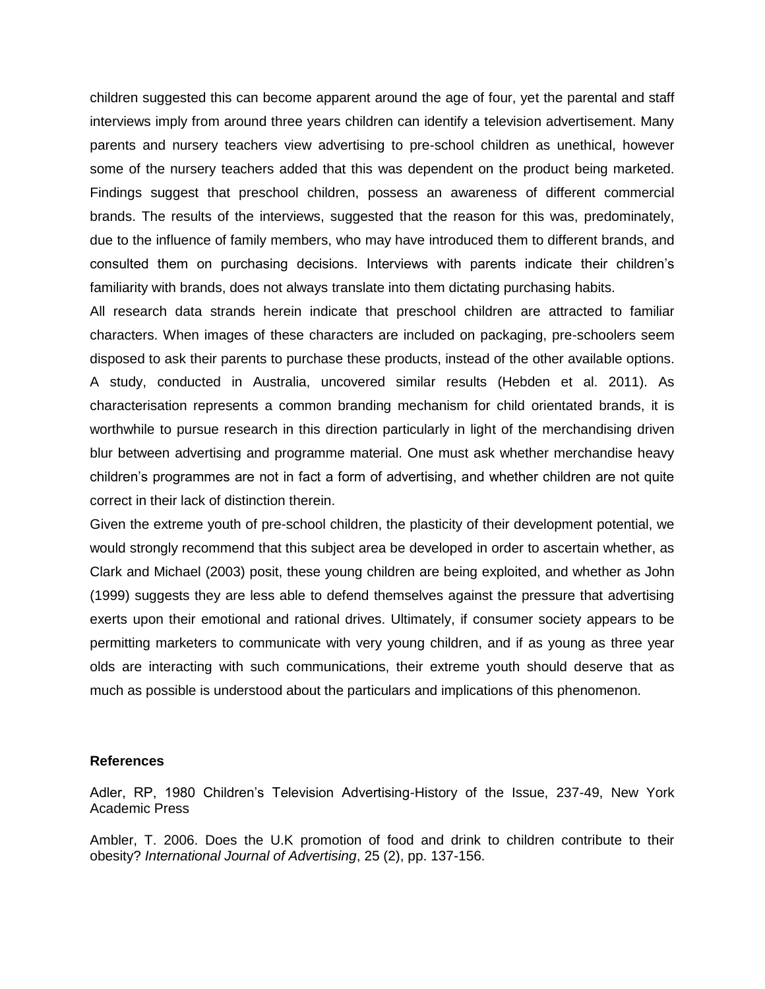children suggested this can become apparent around the age of four, yet the parental and staff interviews imply from around three years children can identify a television advertisement. Many parents and nursery teachers view advertising to pre-school children as unethical, however some of the nursery teachers added that this was dependent on the product being marketed. Findings suggest that preschool children, possess an awareness of different commercial brands. The results of the interviews, suggested that the reason for this was, predominately, due to the influence of family members, who may have introduced them to different brands, and consulted them on purchasing decisions. Interviews with parents indicate their children's familiarity with brands, does not always translate into them dictating purchasing habits.

All research data strands herein indicate that preschool children are attracted to familiar characters. When images of these characters are included on packaging, pre-schoolers seem disposed to ask their parents to purchase these products, instead of the other available options. A study, conducted in Australia, uncovered similar results (Hebden et al. 2011). As characterisation represents a common branding mechanism for child orientated brands, it is worthwhile to pursue research in this direction particularly in light of the merchandising driven blur between advertising and programme material. One must ask whether merchandise heavy children's programmes are not in fact a form of advertising, and whether children are not quite correct in their lack of distinction therein.

Given the extreme youth of pre-school children, the plasticity of their development potential, we would strongly recommend that this subject area be developed in order to ascertain whether, as Clark and Michael (2003) posit, these young children are being exploited, and whether as John (1999) suggests they are less able to defend themselves against the pressure that advertising exerts upon their emotional and rational drives. Ultimately, if consumer society appears to be permitting marketers to communicate with very young children, and if as young as three year olds are interacting with such communications, their extreme youth should deserve that as much as possible is understood about the particulars and implications of this phenomenon.

#### **References**

Adler, RP, 1980 Children's Television Advertising-History of the Issue, 237-49, New York Academic Press

Ambler, T. 2006. Does the U.K promotion of food and drink to children contribute to their obesity? *International Journal of Advertising*, 25 (2), pp. 137-156.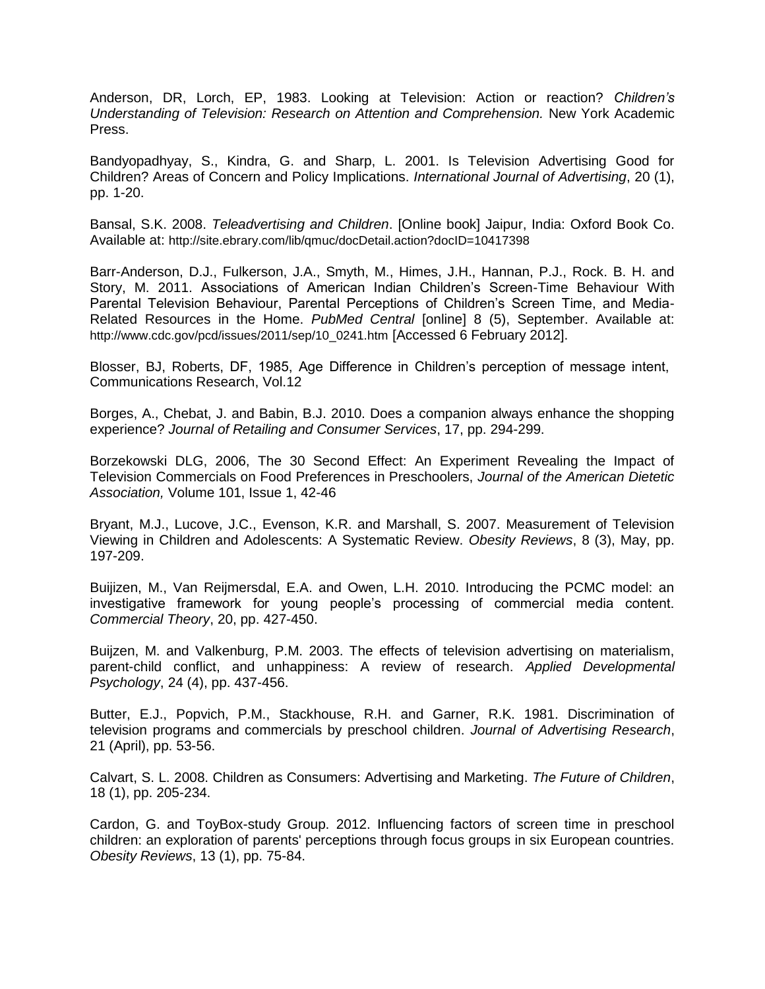Anderson, DR, Lorch, EP, 1983. Looking at Television: Action or reaction? *Children's Understanding of Television: Research on Attention and Comprehension.* New York Academic Press.

Bandyopadhyay, S., Kindra, G. and Sharp, L. 2001. Is Television Advertising Good for Children? Areas of Concern and Policy Implications. *International Journal of Advertising*, 20 (1), pp. 1-20.

Bansal, S.K. 2008. *Teleadvertising and Children*. [Online book] Jaipur, India: Oxford Book Co. Available at: [http://site.ebrary.com/lib/qmuc/docDetail.action?docID=10417398](http://site.ebrary.com/lib/qmuc/docDetail.action?PARAMS=xik_uoVit5rFSFVvMTSbyLp8wCYyf9ab2edBYg9kuHrfvBX)

Barr-Anderson, D.J., Fulkerson, J.A., Smyth, M., Himes, J.H., Hannan, P.J., Rock. B. H. and Story, M. 2011. Associations of American Indian Children's Screen-Time Behaviour With Parental Television Behaviour, Parental Perceptions of Children's Screen Time, and Media-Related Resources in the Home. *PubMed Central* [online] 8 (5), September. Available at: [http://www.cdc.gov/pcd/issues/2011/sep/10\\_0241.htm](https://mc.manuscriptcentral.com/LongRequest/ijc?DOWNLOAD=TRUE&PARAMS=xik_4vn88CGmeRzA5udb36Yy47nVThBDYcgq4eRGPDs7ZNcruXCzbp7FKNGxVh5nt4h5tRh1ciJijPYHABoZTgTzw89CuY7uu4j1eSUKqSBDAxHZXdVwX7tjJaaqrvc3a69sSMqZ6G5tGfWXSUttPMxMgyWZR3ZJ4KrYEKSTU1LN2iVwnE5BGJAVDKYi5ZtpnhRQkNTjKCRZz5XRGWvq17HWs1YU8LpJZynHxNgDfZnPsMCbZdLVX) [Accessed 6 February 2012].

Blosser, BJ, Roberts, DF, 1985, Age Difference in Children's perception of message intent, Communications Research, Vol.12

Borges, A., Chebat, J. and Babin, B.J. 2010. Does a companion always enhance the shopping experience? *Journal of Retailing and Consumer Services*, 17, pp. 294-299.

Borzekowski DLG, 2006, The 30 Second Effect: An Experiment Revealing the Impact of Television Commercials on Food Preferences in Preschoolers, *Journal of the American Dietetic Association,* Volume 101, Issue 1, 42-46

Bryant, M.J., Lucove, J.C., Evenson, K.R. and Marshall, S. 2007. Measurement of Television Viewing in Children and Adolescents: A Systematic Review. *Obesity Reviews*, 8 (3), May, pp. 197-209.

Buijizen, M., Van Reijmersdal, E.A. and Owen, L.H. 2010. Introducing the PCMC model: an investigative framework for young people's processing of commercial media content. *Commercial Theory*, 20, pp. 427-450.

Buijzen, M. and Valkenburg, P.M. 2003. The effects of television advertising on materialism, parent-child conflict, and unhappiness: A review of research. *Applied Developmental Psychology*, 24 (4), pp. 437-456.

Butter, E.J., Popvich, P.M., Stackhouse, R.H. and Garner, R.K. 1981. Discrimination of television programs and commercials by preschool children. *Journal of Advertising Research*, 21 (April), pp. 53-56.

Calvart, S. L. 2008. Children as Consumers: Advertising and Marketing. *The Future of Children*, 18 (1), pp. 205-234.

Cardon, G. and ToyBox-study Group. 2012. Influencing factors of screen time in preschool children: an exploration of parents' perceptions through focus groups in six European countries. *Obesity Reviews*, 13 (1), pp. 75-84.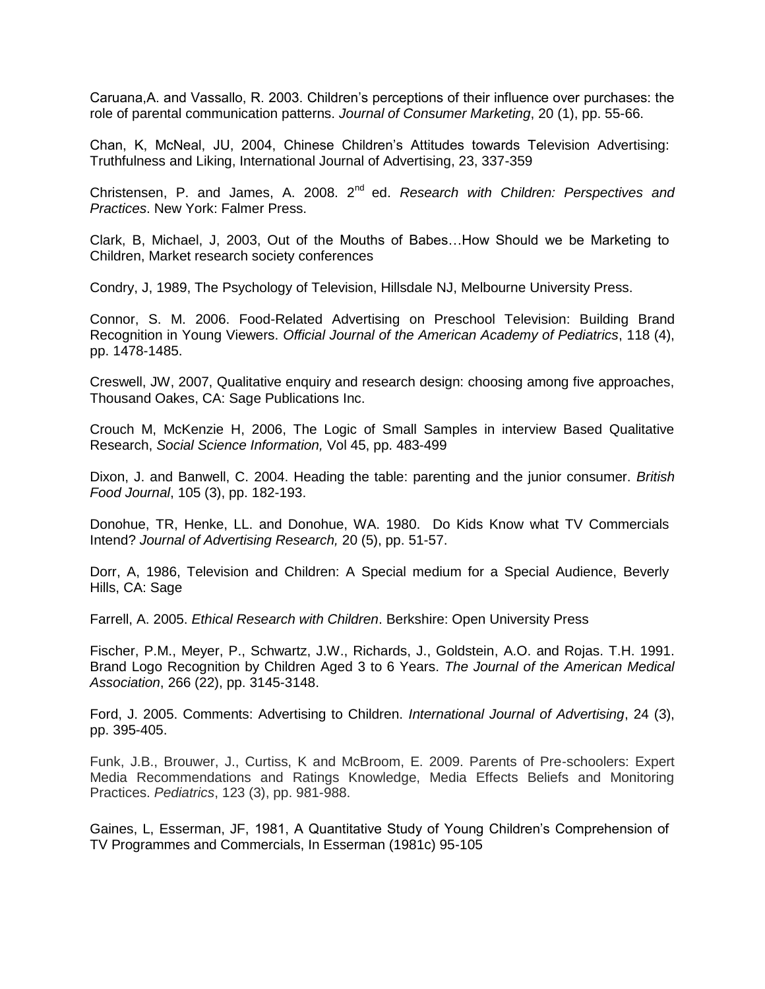Caruana,A. and Vassallo, R. 2003. Children's perceptions of their influence over purchases: the role of parental communication patterns. *Journal of Consumer Marketing*, 20 (1), pp. 55-66.

Chan, K, McNeal, JU, 2004, Chinese Children's Attitudes towards Television Advertising: Truthfulness and Liking, International Journal of Advertising, 23, 337-359

Christensen, P. and James, A. 2008. 2nd ed. *Research with Children: Perspectives and Practices*. New York: Falmer Press.

Clark, B, Michael, J, 2003, Out of the Mouths of Babes…How Should we be Marketing to Children, Market research society conferences

Condry, J, 1989, The Psychology of Television, Hillsdale NJ, Melbourne University Press.

Connor, S. M. 2006. Food-Related Advertising on Preschool Television: Building Brand Recognition in Young Viewers. *Official Journal of the American Academy of Pediatrics*, 118 (4), pp. 1478-1485.

Creswell, JW, 2007, Qualitative enquiry and research design: choosing among five approaches, Thousand Oakes, CA: Sage Publications Inc.

Crouch M, McKenzie H, 2006, The Logic of Small Samples in interview Based Qualitative Research, *Social Science Information,* Vol 45, pp. 483-499

Dixon, J. and Banwell, C. 2004. Heading the table: parenting and the junior consumer. *British Food Journal*, 105 (3), pp. 182-193.

Donohue, TR, Henke, LL. and Donohue, WA. 1980. Do Kids Know what TV Commercials Intend? *Journal of Advertising Research,* 20 (5), pp. 51-57.

Dorr, A, 1986, Television and Children: A Special medium for a Special Audience, Beverly Hills, CA: Sage

Farrell, A. 2005. *Ethical Research with Children*. Berkshire: Open University Press

Fischer, P.M., Meyer, P., Schwartz, J.W., Richards, J., Goldstein, A.O. and Rojas. T.H. 1991. Brand Logo Recognition by Children Aged 3 to 6 Years. *The Journal of the American Medical Association*, 266 (22), pp. 3145-3148.

Ford, J. 2005. Comments: Advertising to Children. *International Journal of Advertising*, 24 (3), pp. 395-405.

Funk, J.B., Brouwer, J., Curtiss, K and McBroom, E. 2009. Parents of Pre-schoolers: Expert Media Recommendations and Ratings Knowledge, Media Effects Beliefs and Monitoring Practices. *Pediatrics*, 123 (3), pp. 981-988.

Gaines, L, Esserman, JF, 1981, A Quantitative Study of Young Children's Comprehension of TV Programmes and Commercials, In Esserman (1981c) 95-105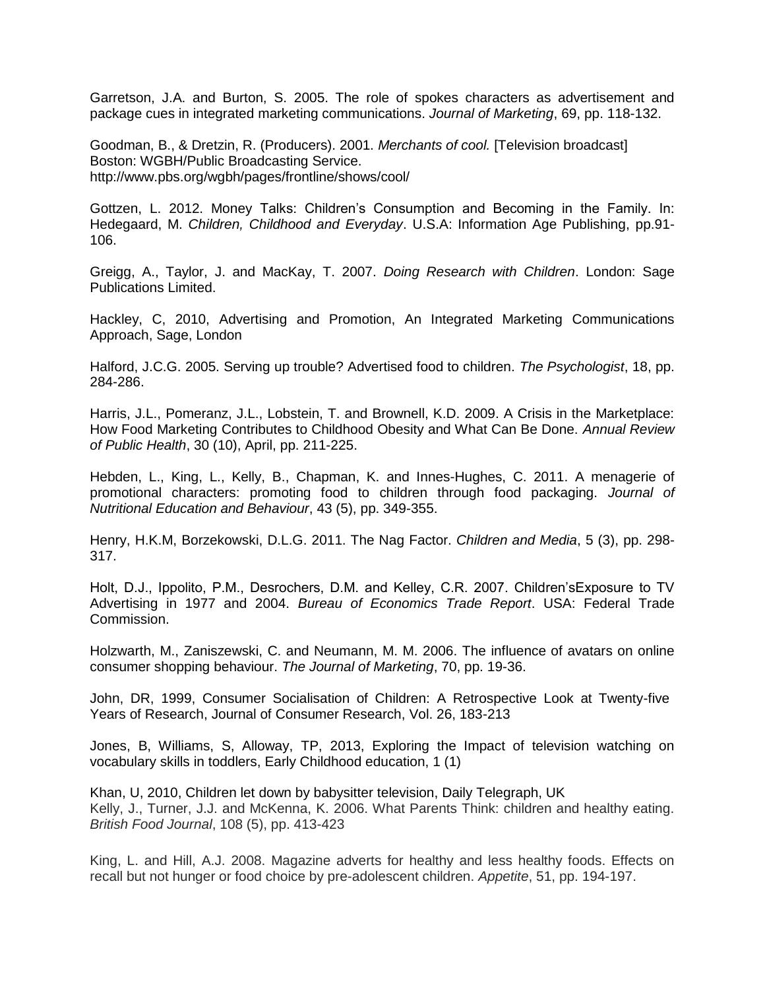Garretson, J.A. and Burton, S. 2005. The role of spokes characters as advertisement and package cues in integrated marketing communications. *Journal of Marketing*, 69, pp. 118-132.

Goodman, B., & Dretzin, R. (Producers). 2001. *Merchants of cool.* [Television broadcast] Boston: WGBH/Public Broadcasting Service. http://www.pbs.org/wgbh/pages/frontline/shows/cool/

Gottzen, L. 2012. Money Talks: Children's Consumption and Becoming in the Family. In: Hedegaard, M. *Children, Childhood and Everyday*. U.S.A: Information Age Publishing, pp.91- 106.

Greigg, A., Taylor, J. and MacKay, T. 2007. *Doing Research with Children*. London: Sage Publications Limited.

Hackley, C, 2010, Advertising and Promotion, An Integrated Marketing Communications Approach, Sage, London

Halford, J.C.G. 2005. Serving up trouble? Advertised food to children. *The Psychologist*, 18, pp. 284-286.

Harris, J.L., Pomeranz, J.L., Lobstein, T. and Brownell, K.D. 2009. A Crisis in the Marketplace: How Food Marketing Contributes to Childhood Obesity and What Can Be Done. *Annual Review of Public Health*, 30 (10), April, pp. 211-225.

Hebden, L., King, L., Kelly, B., Chapman, K. and Innes-Hughes, C. 2011. A menagerie of promotional characters: promoting food to children through food packaging. *Journal of Nutritional Education and Behaviour*, 43 (5), pp. 349-355.

Henry, H.K.M, Borzekowski, D.L.G. 2011. The Nag Factor. *Children and Media*, 5 (3), pp. 298- 317.

Holt, D.J., Ippolito, P.M., Desrochers, D.M. and Kelley, C.R. 2007. Children'sExposure to TV Advertising in 1977 and 2004. *Bureau of Economics Trade Report*. USA: Federal Trade Commission.

Holzwarth, M., Zaniszewski, C. and Neumann, M. M. 2006. The influence of avatars on online consumer shopping behaviour. *The Journal of Marketing*, 70, pp. 19-36.

John, DR, 1999, Consumer Socialisation of Children: A Retrospective Look at Twenty-five Years of Research, Journal of Consumer Research, Vol. 26, 183-213

Jones, B, Williams, S, Alloway, TP, 2013, Exploring the Impact of television watching on vocabulary skills in toddlers, Early Childhood education, 1 (1)

Khan, U, 2010, Children let down by babysitter television, Daily Telegraph, UK Kelly, J., Turner, J.J. and McKenna, K. 2006. What Parents Think: children and healthy eating. *British Food Journal*, 108 (5), pp. 413-423

King, L. and Hill, A.J. 2008. Magazine adverts for healthy and less healthy foods. Effects on recall but not hunger or food choice by pre-adolescent children. *Appetite*, 51, pp. 194-197.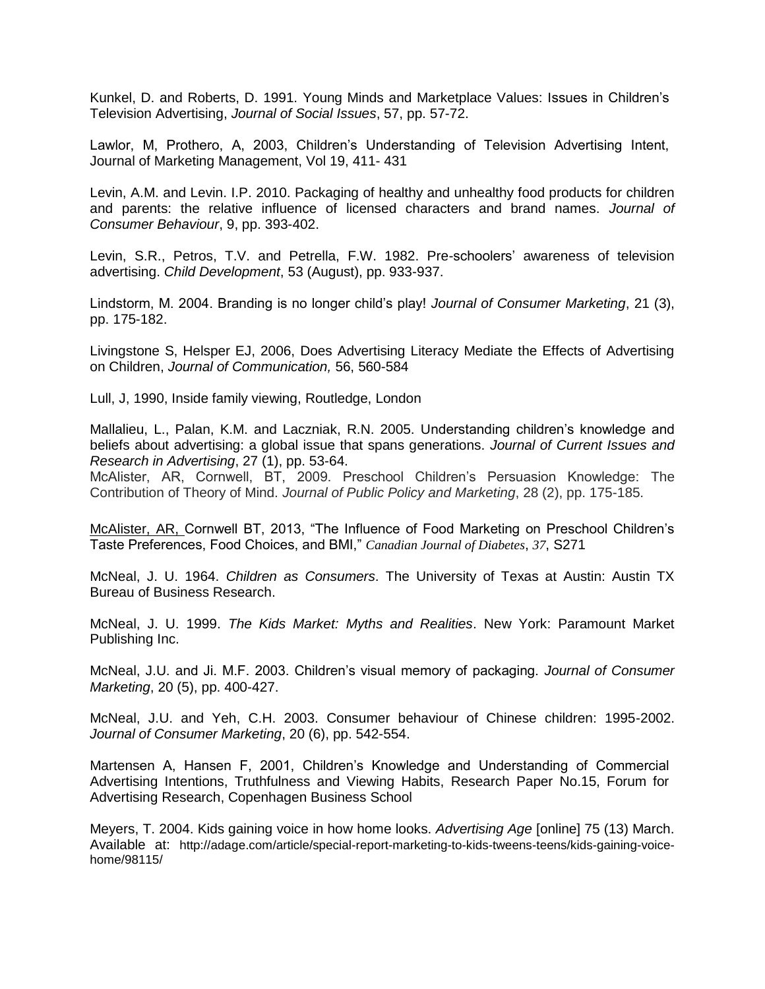Kunkel, D. and Roberts, D. 1991. Young Minds and Marketplace Values: Issues in Children's Television Advertising, *Journal of Social Issues*, 57, pp. 57-72.

Lawlor, M, Prothero, A, 2003, Children's Understanding of Television Advertising Intent, Journal of Marketing Management, Vol 19, 411- 431

Levin, A.M. and Levin. I.P. 2010. Packaging of healthy and unhealthy food products for children and parents: the relative influence of licensed characters and brand names. *Journal of Consumer Behaviour*, 9, pp. 393-402.

Levin, S.R., Petros, T.V. and Petrella, F.W. 1982. Pre-schoolers' awareness of television advertising. *Child Development*, 53 (August), pp. 933-937.

Lindstorm, M. 2004. Branding is no longer child's play! *Journal of Consumer Marketing*, 21 (3), pp. 175-182.

Livingstone S, Helsper EJ, 2006, Does Advertising Literacy Mediate the Effects of Advertising on Children, *Journal of Communication,* 56, 560-584

Lull, J, 1990, Inside family viewing, Routledge, London

Mallalieu, L., Palan, K.M. and Laczniak, R.N. 2005. Understanding children's knowledge and beliefs about advertising: a global issue that spans generations. *Journal of Current Issues and Research in Advertising*, 27 (1), pp. 53-64.

McAlister, AR, Cornwell, BT, 2009. Preschool Children's Persuasion Knowledge: The Contribution of Theory of Mind. *Journal of Public Policy and Marketing*, 28 (2), pp. 175-185.

McAlister, AR, Cornwell BT, 2013, "The Influence of Food Marketing on Preschool Children's Taste Preferences, Food Choices, and BMI," *Canadian Journal of Diabetes*, *37*, S271

McNeal, J. U. 1964. *Children as Consumers*. The University of Texas at Austin: Austin TX Bureau of Business Research.

McNeal, J. U. 1999. *The Kids Market: Myths and Realities*. New York: Paramount Market Publishing Inc.

McNeal, J.U. and Ji. M.F. 2003. Children's visual memory of packaging. *Journal of Consumer Marketing*, 20 (5), pp. 400-427.

McNeal, J.U. and Yeh, C.H. 2003. Consumer behaviour of Chinese children: 1995-2002. *Journal of Consumer Marketing*, 20 (6), pp. 542-554.

Martensen A, Hansen F, 2001, Children's Knowledge and Understanding of Commercial Advertising Intentions, Truthfulness and Viewing Habits, Research Paper No.15, Forum for Advertising Research, Copenhagen Business School

Meyers, T. 2004. Kids gaining voice in how home looks. *Advertising Age* [online] 75 (13) March. Available at: [http://adage.com/article/special-report-marketing-to-kids-tweens-teens/kids-gaining-voice](http://adage.com/article/special-report-marketing-to-kids-tweens-teens/kids-gaining-voice-home/98115/)[home/98115/](http://adage.com/article/special-report-marketing-to-kids-tweens-teens/kids-gaining-voice-home/98115/)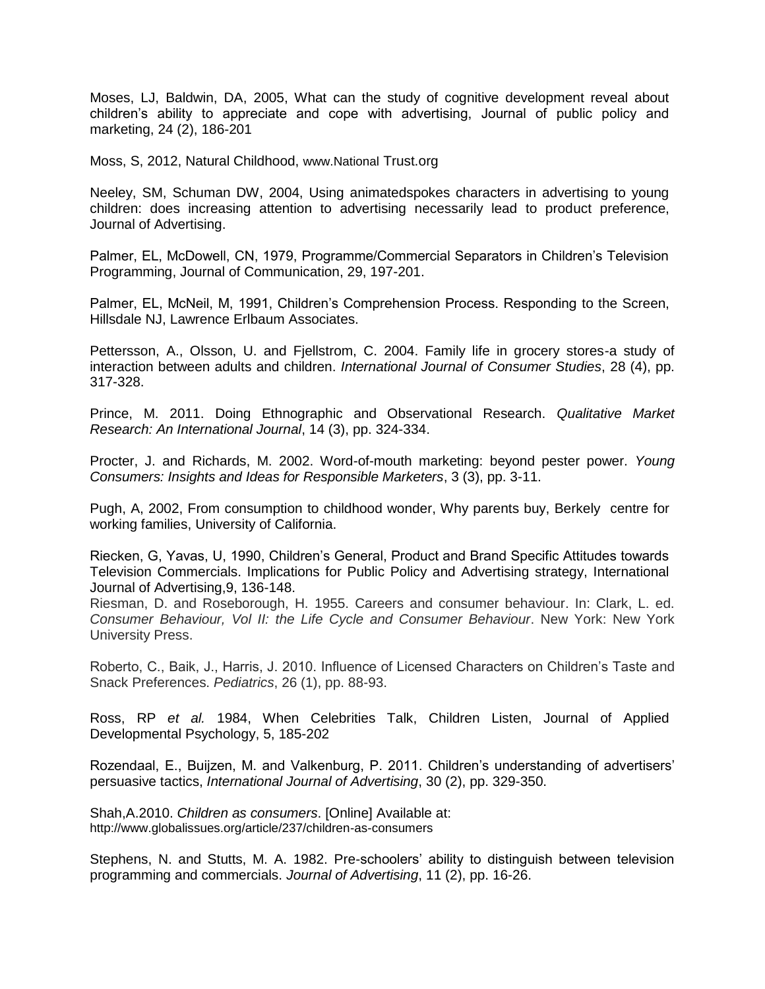Moses, LJ, Baldwin, DA, 2005, What can the study of cognitive development reveal about children's ability to appreciate and cope with advertising, Journal of public policy and marketing, 24 (2), 186-201

Moss, S, 2012, Natural Childhood, [www.National](http://www.national/) Trust.org

Neeley, SM, Schuman DW, 2004, Using animatedspokes characters in advertising to young children: does increasing attention to advertising necessarily lead to product preference, Journal of Advertising.

Palmer, EL, McDowell, CN, 1979, Programme/Commercial Separators in Children's Television Programming, Journal of Communication, 29, 197-201.

Palmer, EL, McNeil, M, 1991, Children's Comprehension Process. Responding to the Screen, Hillsdale NJ, Lawrence Erlbaum Associates.

Pettersson, A., Olsson, U. and Fjellstrom, C. 2004. Family life in grocery stores-a study of interaction between adults and children. *International Journal of Consumer Studies*, 28 (4), pp. 317-328.

Prince, M. 2011. Doing Ethnographic and Observational Research. *Qualitative Market Research: An International Journal*, 14 (3), pp. 324-334.

Procter, J. and Richards, M. 2002. Word-of-mouth marketing: beyond pester power. *Young Consumers: Insights and Ideas for Responsible Marketers*, 3 (3), pp. 3-11.

Pugh, A, 2002, From consumption to childhood wonder, Why parents buy, Berkely centre for working families, University of California.

Riecken, G, Yavas, U, 1990, Children's General, Product and Brand Specific Attitudes towards Television Commercials. Implications for Public Policy and Advertising strategy, International Journal of Advertising,9, 136-148.

Riesman, D. and Roseborough, H. 1955. Careers and consumer behaviour. In: Clark, L. ed. *Consumer Behaviour, Vol II: the Life Cycle and Consumer Behaviour*. New York: New York University Press.

Roberto, C., Baik, J., Harris, J. 2010. Influence of Licensed Characters on Children's Taste and Snack Preferences. *Pediatrics*, 26 (1), pp. 88-93.

Ross, RP *et al.* 1984, When Celebrities Talk, Children Listen, Journal of Applied Developmental Psychology, 5, 185-202

Rozendaal, E., Buijzen, M. and Valkenburg, P. 2011. Children's understanding of advertisers' persuasive tactics, *International Journal of Advertising*, 30 (2), pp. 329-350.

Shah,A.2010. *Children as consumers*. [Online] Available at: <http://www.globalissues.org/article/237/children-as-consumers>

Stephens, N. and Stutts, M. A. 1982. Pre-schoolers' ability to distinguish between television programming and commercials. *Journal of Advertising*, 11 (2), pp. 16-26.